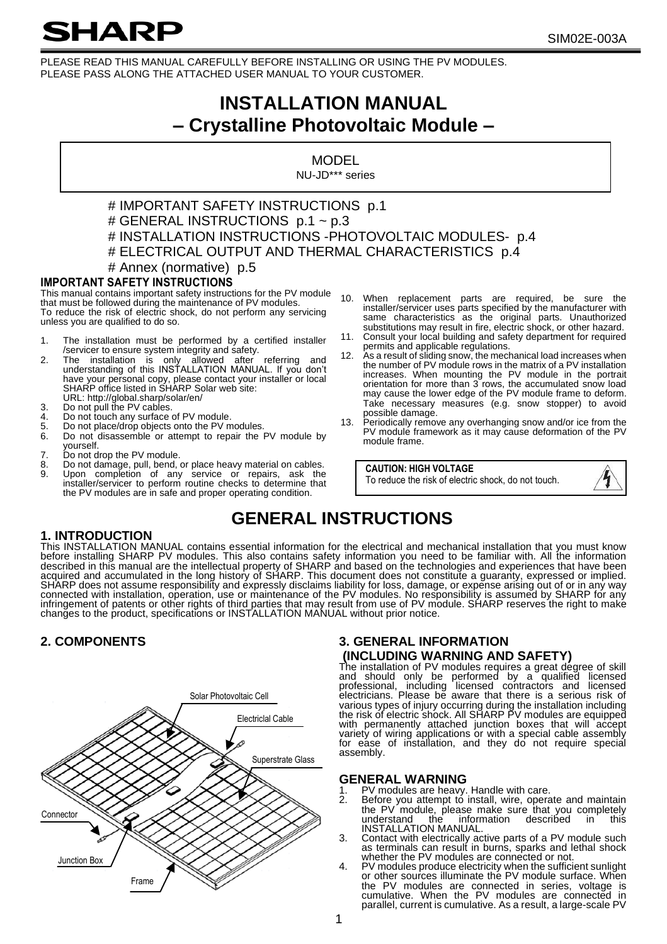# **SHARP**

PLEASE READ THIS MANUAL CAREFULLY BEFORE INSTALLING OR USING THE PV MODULES. PLEASE PASS ALONG THE ATTACHED USER MANUAL TO YOUR CUSTOMER.

# **INSTALLATION MANUAL – Crystalline Photovoltaic Module –**

MODEL NU-JD\*\*\* series

#### # IMPORTANT SAFETY INSTRUCTIONS p.1 # GENERAL INSTRUCTIONS p.1 ~ p.3 # INSTALLATION INSTRUCTIONS -PHOTOVOLTAIC MODULES- p.4 # ELECTRICAL OUTPUT AND THERMAL CHARACTERISTICS p.4 # Annex (normative) p.5

## **IMPORTANT SAFETY INSTRUCTIONS**

This manual contains important safety instructions for the PV module that must be followed during the maintenance of PV modules. To reduce the risk of electric shock, do not perform any servicing unless you are qualified to do so.

- 
- 1. The installation must be performed by a certified installer<br>/servicer to ensure system integrity and safety.<br>2. The installation is only allowed after referring and<br>understanding of this INSTALLATION MANUAL. If you don' have your personal copy, please contact your installer or local<br>SHARP office listed in SHARP Solar web site:
- URL: http://global.sharp/solar/en/ 3. Do not pull the PV cables.
- 
- 4. Do not touch any surface of PV module.<br>5 Do not place/drop objects onto the PV m
- 5. Do not place/drop objects onto the PV modules.<br>6. Do not disassemble or attempt to repair the Do not disassemble or attempt to repair the PV module by yourself.
- 7. Do not drop the PV module.<br>8. Do not damage pull bend
- 8. Do not damage, pull, bend, or place heavy material on cables.<br>9. Upon, completion, of any service or repairs, ask the
- Upon completion of any service or repairs, ask the installer/servicer to perform routine checks to determine that the PV modules are in safe and proper operating condition.
- 10. When replacement parts are required, be sure the installer/servicer uses parts specified by the manufacturer with same characteristics as the original parts. Unauthorized substitutions may result in fire, electric shock, or other hazard.
- 11. Consult your local building and safety department for required
- permits and applicable regulations. 12. As a result of sliding snow, the mechanical load increases when the number of PV module rows in the matrix of a PV installation increases. When mounting the PV module in the portrait orientation for more than 3 rows, the accumulated snow load may cause the lower edge of the PV module frame to deform. Take necessary measures (e.g. snow stopper) to avoid
- possible damage. 13. Periodically remove any overhanging snow and/or ice from the PV module framework as it may cause deformation of the PV module frame.

**CAUTION: HIGH VOLTAGE**

To reduce the risk of electric shock, do not touch.



# **GENERAL INSTRUCTIONS**

#### **1. INTRODUCTION**

This INSTALLATION MANUAL contains essential information for the electrical and mechanical installation that you must know before installing SHARP PV modules. This also contains safety information you need to be familiar with. All the information described in this manual are the intellectual property of SHARP and based on the technologies and experiences that have been<br>acquired and accumulated in the long history of SHARP. This document does not constitute a guaran connected with installation, operation, use or maintenance of the PV modules. No responsibility is assumed by SHARP for any<br>infringement of patents or other rights of third parties that may result from use of PV module. SH



## **2. COMPONENTS 3. GENERAL INFORMATION (INCLUDING WARNING AND SAFETY)**

The installation of PV modules requires a great degree of skill and should only be performed by a qualified licensed<br>professional, including licensed contractors and licensed<br>electricians. Please be aware that there is a serious risk of various types of injury occurring during the installation including<br>the risk of electric shock. All SHARP PV modules are equipped<br>with permanently attached junction boxes that will accept<br>variety of wiring applications or assembly.

## **GENERAL WARNING**<br>1 PV modules are heavy

- 
- 1. PV modules are heavy. Handle with care. 2. Before you attempt to install, wire, operate and maintain the PV module, please make sure that you completely understand the information described in this INSTALLATION MANUAL.
- 3. Contact with electrically active parts of a PV module such as terminals can result in burns, sparks and lethal shock whether the PV modules are connected or not.
- 4. PV modules produce electricity when the sufficient sunlight or other sources illuminate the PV module surface. When the PV modules are connected in series, voltage is cumulative. When the PV modules are connected in parallel, current is cumulative. As a result, a large-scale PV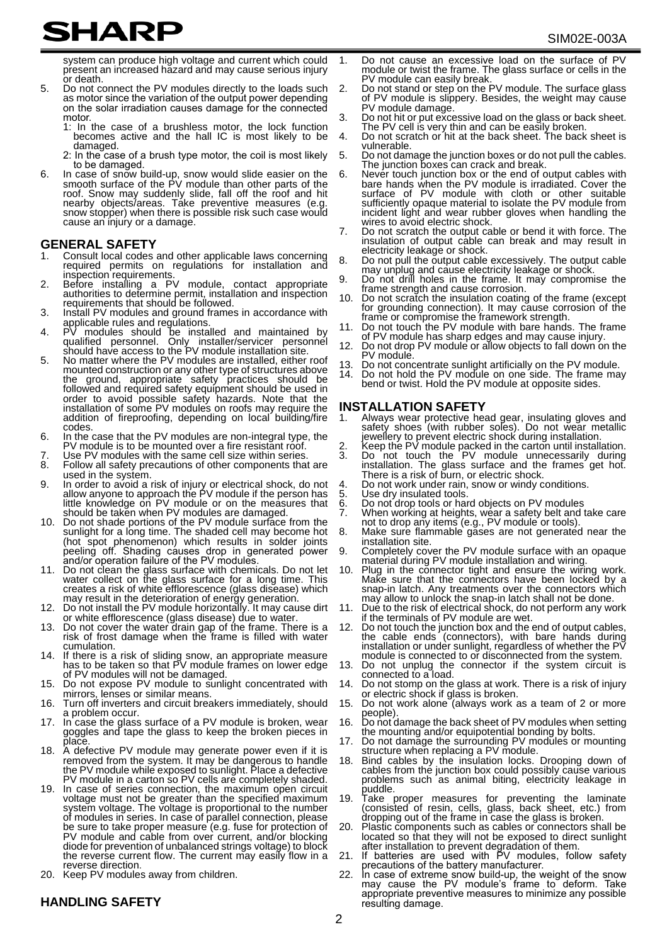# **SHARP**

system can produce high voltage and current which could present an increased hazard and may cause serious injury or death.

- 5. Do not connect the PV modules directly to the loads such as motor since the variation of the output power depending on the solar irradiation causes damage for the connected motor.
	- 1: In the case of a brushless motor, the lock function becomes active and the hall IC is most likely to be damaged.
	- 2: In the case of a brush type motor, the coil is most likely to be damaged.
- 6. In case of snow build-up, snow would slide easier on the smooth surface of the PV module than other parts of the roof. Snow may suddenly slide, fall off the roof and hit roof. On buy may suddenly slide, fall off the roo snow stopper) when there is possible risk such case would cause an injury or a damage.

#### **GENERAL SAFETY**

- 1. Consult local codes and other applicable laws concerning required permits on regulations for installation and inspection requirements.
- 2. Before installing a PV module, contact appropriate authorities to determine permit, installation and inspection requirements that should be followed.
- 3. Install PV modules and ground frames in accordance with
- applicable rules and regulations.<br>4. PV modules should be installed and maintained by<br>qualified personnel. Only installer/servicer personnel<br>5. No matter where the PV modules are installation site.<br>5. No matter where the P
- mounted construction or any other type of structures above the ground, appropriate safety practices should be<br>followed and required safety equipment should be used in order to avoid possible safety hazards. Note that the installation of some PV modules on roofs may require the addition of fireproofing, depending on local building/fire codes.
- 6. In the case that the PV modules are non-integral type, the PV module is to be mounted over a fire resistant roof.
- 7. Use PV modules with the same cell size within series.<br>8. Follow all safety precautions of other components that
- Follow all safety precautions of other components that are used in the system.
- 9. In order to avoid a risk of injury or electrical shock, do not allow anyone to approach the PV module if the person has little knowledge on PV module or on the measures that should be taken when PV modules are damaged.
- Do not shade portions of the PV module surface from the sunlight for a long time. The shaded cell may become hot (hot spot phenomenon) which results in solder joints<br>peeling off. Shading causes drop in generated power<br>and/oroperation failure of the PV modules.
- 11. Do not clean the glass surface with chemicals. Do not let water collect on the glass surface for a long time. This creates a risk of white efflorescence (glass disease) which
- may result in the deterioration of energy generation. 12. Do not install the PV module horizontally. It may cause dirt
- or white efflorescence (glass disease) due to water. 13. Do not cover the water drain gap of the frame. There is a risk of frost damage when the frame is filled with water cumulation.
- 14. If there is a risk of sliding snow, an appropriate measure has to be taken so that PV module frames on lower edge of PV modules will not be damaged.
- Do not expose PV module to sunlight concentrated with mirrors, lenses or similar means.
- 16. Turn off inverters and circuit breakers immediately, should a problem occur.
- In case the glass surface of a PV module is broken, wear goggles and tape the glass to keep the broken pieces in place.
- 18. A defective PV module may generate power even if it is<br>removed from the system. It may be dangerous to handle<br>the PV module while exposed to sunlight. Place a defective PV module in a carton so PV cells are completely shaded.
- In case of series connection, the maximum open circuit voltage must not be greater than the specified maximum system voltage. The voltage is proportional to the number of modules in series. In case of parallel connection, please be sure to take proper measure (e.g. fuse for protection of PV module and cable from over current, and/or blocking diode for prevention of unbalanced strings voltage) to block the reverse current flow. The current may easily flow in a reverse direction.
- 20. Keep PV modules away from children.

## **HANDLING SAFETY**

- 1. Do not cause an excessive load on the surface of PV module or twist the frame. The glass surface or cells in the PV module can easily break.
- 2. Do not stand or step on the PV module. The surface glass of PV module is slippery. Besides, the weight may cause PV module damage.
- 3. Do not hit or put excessive load on the glass or back sheet.
- The PV cell is very thin and can be easily broken. 4. Do not scratch or hit at the back sheet. The back sheet is vulnerable.
- 5. Do not damage the junction boxes or do not pull the cables. The junction boxes can crack and break.
- 6. Never touch junction box or the end of output cables with<br>bare hands when the PV module is irradiated. Cover the<br>surface of PV module with cloth or other suitable<br>sufficiently opaque material to isolate the PV module fr incident light and wear rubber gloves when handling the wires to avoid electric shock.
- 7. Do not scratch the output cable or bend it with force. The insulation of output cable can break and may result in electricity leakage or shock.
- 8. Do not pull the output cable excessively. The output cable may unplug and cause electricity leakage or shock.
- Do not drill holes in the frame. It may compromise the frame strength and cause corrosion.
- 10. Do not scratch the insulation coating of the frame (except for grounding connection). It may cause corrosion of the frame or compromise the framework strength.
- 11. Do not touch the PV module with bare hands. The frame of PV module has sharp edges and may cause injury.
- 12. Do not drop PV module or allow objects to fall down on the PV module.
- 13. Do not concentrate sunlight artificially on the PV module.<br>14. Do not bold the PV module on one side. The frame ma
- Do not borroom all barms and module on one side. The frame may bend or twist. Hold the PV module at opposite sides.

#### **INSTALLATION SAFETY**

- 1. Always wear protective head gear, insulating gloves and safety shoes (with rubber soles). Do not wear metallic jewellery to prevent electric shock during installation. 2. Keep the PV module packed in the carton until installation.
- 3. Do not touch the PV module unnecessarily during installation. The glass surface and the frames get hot.<br>There is a risk of burn, or electric shock.
- 4. Do not work under rain, snow or windy conditions.<br>5. Use dry insulated tools.
- 
- 5. Use dry insulated tools.<br>6. Do not drop tools or har 6. Do not drop tools or hard objects on PV modules
- 7. When working at heights, wear a safety belt and take care not to drop any items (e.g., PV module or tools).
- Make sure flammable gases are not generated near the installation site.
- Completely cover the PV module surface with an opaque material during PV module installation and wiring.
- Plug in the connector tight and ensure the wiring work. Make sure that the connectors have been locked by a snap-in latch. Any treatments over the connectors which may allow to unlock the snap-in latch shall not be done.
- Due to the risk of electrical shock, do not perform any work if the terminals of PV module are wet.
- Do not touch the junction box and the end of output cables, the cable ends (connectors), with bare hands during installation or under sunlight, regardless of whether the PV module is connected to or disconnected from the system.
- 13. Do not unplug the connector if the system circuit is connected to a load.
- 14. Do not stomp on the glass at work. There is a risk of injury
- or electric shock if glass is broken. 15. Do not work alone (always work as a team of 2 or more people).
- 16. Do not damage the back sheet of PV modules when setting the mounting and/or equipotential bonding by bolts.
- 17. Do not damage the surrounding PV modules or mounting structure when replacing a PV module.
- Bind cables by the insulation locks. Drooping down of cables from the junction box could possibly cause various problems such as animal biting, electricity leakage in
- puddle. 19. Take proper measures for preventing the laminate (consisted of resin, cells, glass, back sheet, etc.) from dropping out of the frame in case the glass is broken.
- Plastic components such as cables or connectors shall be located so that they will not be exposed to direct sunlight after installation to prevent degradation of them. 21. If batteries are used with PV modules, follow safety
- 
- precautions of the battery manufacturer. 22. In case of extreme snow build-up, the weight of the snow may cause the PV module's frame to deform. Take appropriate preventive measures to minimize any possible resulting damage.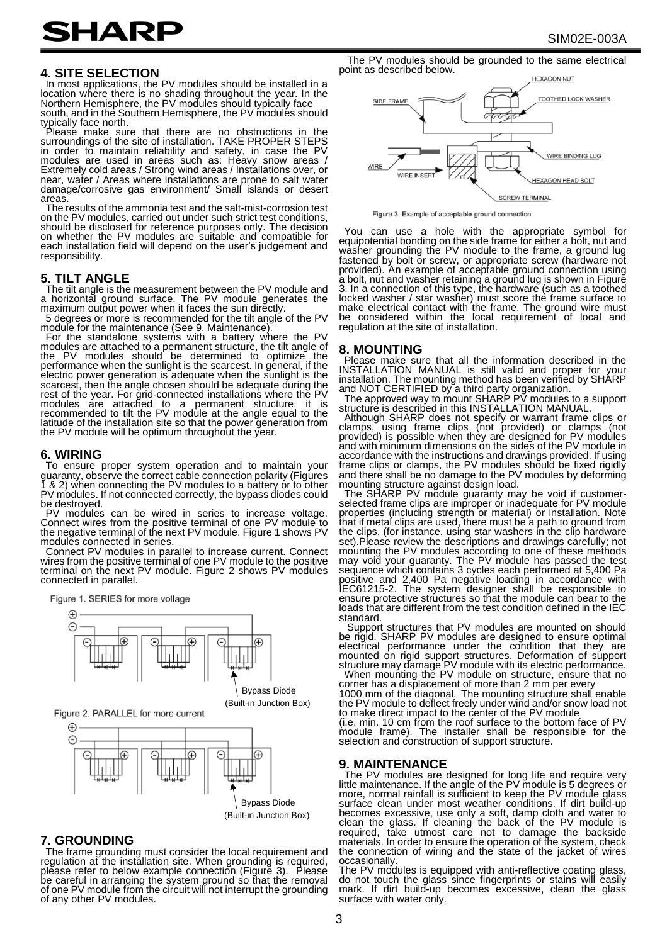# **SHARP**

In most applications, the PV modules should be installed in a location where there is no shading throughout the year. In the<br>Northern Hemisphere, the PV modules should typically face

south, and in the Southern Hemisphere, the PV modules should typically face north.

Please make sure that there are no obstructions in the surroundings of the site of installation. TAKE PROPER STEPS in order to maintain reliability and safety, in case the PV<br>modules are used in areas such as: Heavy snow areas / Extremely cold areas / Strong wind areas / Installations over, or near, water / Areas where installations are prone to salt water damage/corrosive gas environment/ Small islands or desert areas.

The results of the ammonia test and the salt-mist-corrosion test on the PV modules, carried out under such strict test conditions, should be disclosed for reference purposes only. The decision on whether the PV modules are suitable and compatible for each installation field will depend on the user's judgement and responsibility.

#### **5. TILT ANGLE**

The tilt angle is the measurement between the PV module and a horizontal ground surface. The PV module generates the maximum output power when it faces the sun directly.

5 degrees or more is recommended for the tilt angle of the PV

module for the maintenance (See 9. Maintenance).<br>For the standalone systems with a battery where the PV<br>modules are attached to a permanent structure, the tilt angle of<br>the PV modules should be determined to optimize the<br>p electric power generation is adequate when the sunlight is the scarcest, then the angle chosen should be adequate during the rest of the year. For grid-connected installations where the PV<br>modules are attached to a permanent structure, it is<br>recommended to tilt the PV module at the angle equal to the latitude of the installation site so that the power generation from the PV module will be optimum throughout the year.

#### **6. WIRING**

To ensure proper system operation and to maintain your guaranty, observe the correct cable connection polarity (Figures 1 & 2) when connecting the PV modules to a battery or to other PV modules. If not connected correctly, the bypass diodes could be destroyed.

PV modules can be wired in series to increase voltage.<br>Connect wires from the positive terminal of one PV module to<br>the negative terminal of the next PV module. Figure 1 shows PV modules connected in series.

Connect PV modules in parallel to increase current. Connect wires from the positive terminal of one PV module to the positive terminal on the next PV module. Figure 2 shows PV modules connected in parallel.





(Built-in Junction Box)

Figure 2. PARALLEL for more current



#### **7. GROUNDING**

The frame grounding must consider the local requirement and regulation at the installation site. When grounding is required,<br>please refer to below example connection (Figure 3). Please<br>be careful in arranging the system ground so that the removal<br>of one PV module from the circuit w of any other PV modules.

The PV modules should be grounded to the same electrical point as described below.



Figure 3. Example of acceptable ground connection

You can use a hole with the appropriate symbol for equipotential bonding on the side frame for either a bolt, nut and washer grounding the PV module to the frame, a ground lug fastened by bolt or screw, or appropriate screw (hardware not provided). An example of acceptable ground connection using a bolt, nut and washer retaining a ground lug is shown in Figure<br>3. In a connection of this type, the hardware (such as a toothed<br>locked washer / star washer) must score the frame surface to make electrical contact with the frame. The ground wire must be considered within the local requirement of local and regulation at the site of installation.

#### **8. MOUNTING**

Please make sure that all the information described in the<br>INSTALLATION MANUAL is still valid and proper for your<br>installation. The mounting method has been verified by SHARP

and NOT CERTIFIED by a third party organization.<br> The approved way to mount SHARP PV modules to a support<br>structure is described in this INSTALLATION MANUAL.

Although SHARP does not specify or warrant frame clips or clamps, using frame clips (not provided) or clamps (not provided) is possible when they are designed for PV modules and with minimum dimensions on the sides of the PV module in accordance with the instructions and drawings provided. If using frame clips or clamps, the PV modules should be fixed rigidly and there shall be no damage to the PV modules by deforming mounting structure against design load.

The SHARP PV module guaranty may be void if customer-<br>selected frame clips are improper or inadequate for PV module properties (including strength or material) or installation. Note<br>that if metal clips are used, there must be a path to ground from<br>the clips, (for instance, using star washers in the clip hardware<br>set).Please review the d mounting the PV modules according to one of these methods may void your guaranty. The PV module has passed the test sequence which contains 3 cycles each performed at 5,400 Pa positive and 2,400 Pa negative loading in accordance with IEC61215-2. The system designer shall be responsible to ensure protective structures so that the module can bear to the loads that are different from the test condition defined in the IEC standard.

Support structures that PV modules are mounted on should be rigid. SHARP PV modules are designed to ensure optimal<br>electrical performance under the condition that they are<br>mounted on rigid support structures. Deformation of support<br>structure may damage PV module with its electri

corner has a displacement of more than 2 mm per every 1000 mm of the diagonal. The mounting structure shall enable the PV module to deflect freely under wind and/or snow load not to make direct impact to the center of the PV module

(i.e. min. 10 cm from the roof surface to the bottom face of PV module frame). The installer shall be responsible for the selection and construction of support structure.

#### **9. MAINTENANCE**

The PV modules are designed for long life and require very<br>little maintenance. If the angle of the PV module is 5 degrees or<br>more, normal rainfall is sufficient to keep the PV module glass<br>surface clean under most weather the connection of wiring and the state of the jacket of wires occasionally.

The PV modules is equipped with anti-reflective coating glass,<br>do not touch the glass since fingerprints or stains will easily<br>mark. If dirt build-up becomes excessive, clean the glass surface with water only.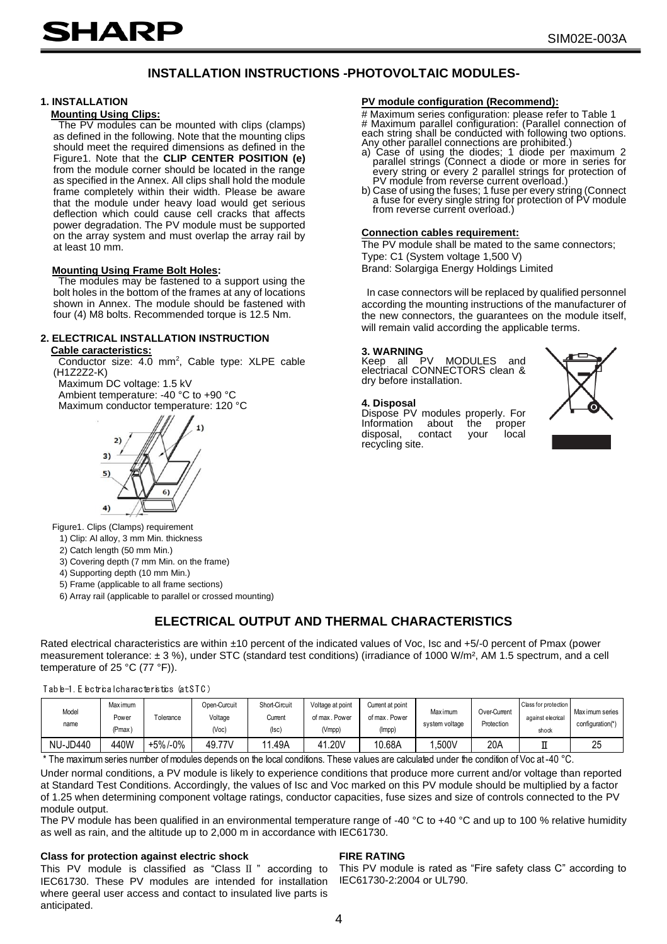## **INSTALLATION INSTRUCTIONS -PHOTOVOLTAIC MODULES-**

#### **1. INSTALLATION**

#### **Mounting Using Clips:**

The PV modules can be mounted with clips (clamps) as defined in the following. Note that the mounting clips should meet the required dimensions as defined in the Figure1. Note that the **CLIP CENTER POSITION (e)** from the module corner should be located in the range as specified in the Annex. All clips shall hold the module frame completely within their width. Please be aware that the module under heavy load would get serious deflection which could cause cell cracks that affects power degradation. The PV module must be supported on the array system and must overlap the array rail by at least 10 mm.

#### **Mounting Using Frame Bolt Holes:**

The modules may be fastened to a support using the bolt holes in the bottom of the frames at any of locations shown in Annex. The module should be fastened with four (4) M8 bolts. Recommended torque is 12.5 Nm.

#### **2. ELECTRICAL INSTALLATION INSTRUCTION Cable caracteristics:**

Conductor size: 4.0 mm<sup>2</sup>, Cable type: XLPE cable (H1Z2Z2-K)

Maximum DC voltage: 1.5 kV Ambient temperature: -40 °C to +90 °C Maximum conductor temperature: 120 °C



Figure1. Clips (Clamps) requirement

1) Clip: Al alloy, 3 mm Min. thickness

2) Catch length (50 mm Min.)

3) Covering depth (7 mm Min. on the frame)

4) Supporting depth (10 mm Min.)

5) Frame (applicable to all frame sections)

6) Array rail (applicable to parallel or crossed mounting)

## **ELECTRICAL OUTPUT AND THERMAL CHARACTERISTICS**

Rated electrical characteristics are within ±10 percent of the indicated values of Voc, Isc and +5/-0 percent of Pmax (power measurement tolerance: ± 3 %), under STC (standard test conditions) (irradiance of 1000 W/m², AM 1.5 spectrum, and a cell temperature of 25 °C (77 °F)). Rated electrical characteristics are with<br>measurement tolerance: ± 3 %), unde<br>emperature of 25 °C (77 °F)).<br>Table-1. Electrical characteristics (at STC)

#### Table-1. Electrical characteristics (at STC)

| Table-1. Electrical characteristics (at STC) |                             |           |                                  |                                         |                                             |                                             |                                   |                            |                                                    |                                     |
|----------------------------------------------|-----------------------------|-----------|----------------------------------|-----------------------------------------|---------------------------------------------|---------------------------------------------|-----------------------------------|----------------------------|----------------------------------------------------|-------------------------------------|
| Model<br>name                                | Max imum<br>Power<br>(Pmax) | Tolerance | Open-Curcuit<br>Voltage<br>(Vec) | Short-Circuit<br>Current<br>$($ lsc $)$ | Voltage at point<br>of max. Power<br>(Vmpp) | Current at point<br>of max. Power<br>(Impp) | <b>Max</b> imum<br>system voltage | Over-Current<br>Protection | Class for protection<br>against elecrical<br>shock | Max imum series<br>configuration(*) |
| <b>NU-JD440</b>                              | 440W                        | +5%/-0%   | 49.77V                           | 11.49A                                  | 41.20V                                      | 10.68A                                      | .500V                             | 20A                        |                                                    | 25                                  |

\* The maximum series number of modules depends on the local conditions. These values are calculated under the condition of Voc at -40 °C.

Under normal conditions, a PV module is likely to experience conditions that produce more current and/or voltage than reported at Standard Test Conditions. Accordingly, the values of Isc and Voc marked on this PV module should be multiplied by a factor of 1.25 when determining component voltage ratings, conductor capacities, fuse sizes and size of controls connected to the PV module output.

The PV module has been qualified in an environmental temperature range of -40 °C to +40 °C and up to 100 % relative humidity as well as rain, and the altitude up to 2,000 m in accordance with IEC61730.

#### **Class for protection against electric shock**

This PV module is classified as "Class II " according to IEC61730. These PV modules are intended for installation where geeral user access and contact to insulated live parts is anticipated.

#### **PV module configuration (Recommend):**

# Maximum series configuration: please refer to Table 1 # Maximum parallel configuration: (Parallel connection of each string shall be conducted with following two options. Any other parallel connections are prohibited.)

- a) Case of using the diodes; 1 diode per maximum 2 parallel strings (Connect a diode or more in series for every string or every 2 parallel strings for protection of PV module from reverse current overload.)
- b) Case of using the fuses; 1 fuse per every string (Connect a fuse for every single string for protection of PV module from reverse current overload.)

#### **Connection cables requirement:**

The PV module shall be mated to the same connectors; Type: C1 (System voltage 1,500 V)

Brand: Solargiga Energy Holdings Limited

In case connectors will be replaced by qualified personnel according the mounting instructions of the manufacturer of the new connectors, the guarantees on the module itself, will remain valid according the applicable terms.

#### **3. WARNING**

Keep all PV MODULES and electriacal CONNECTORS clean & dry before installation.

#### **4. Disposal**

**Dispose PV modules properly. For**<br>Information about the proper Information about the proper<br>disposal, contact your local disposal. recycling site.



**FIRE RATING**

IEC61730-2:2004 or UL790.

This PV module is rated as "Fire safety class C" according to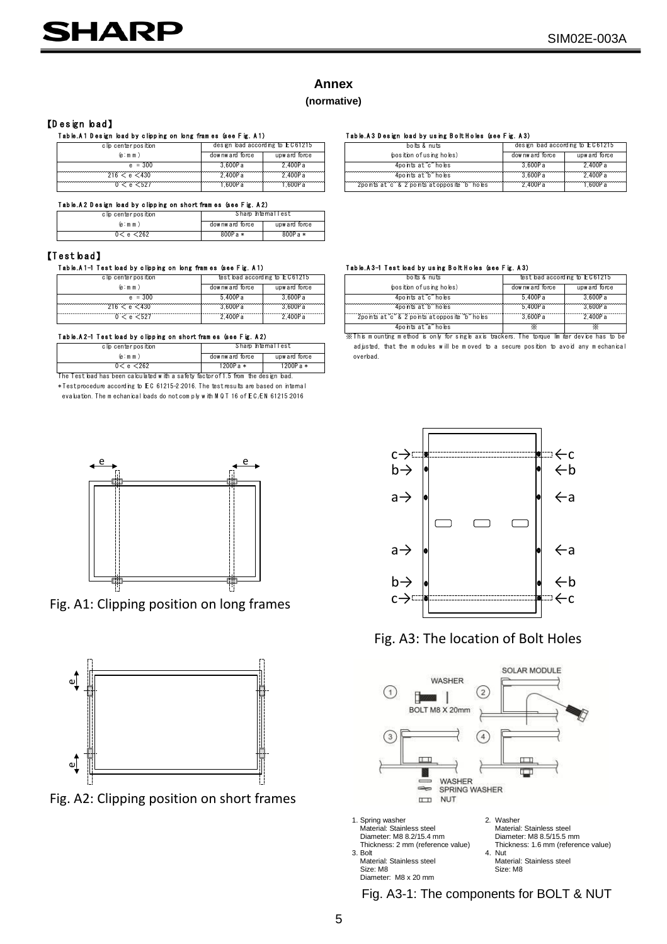## **Annex**

#### **(normative)**

# The Sign bad **a**<br>T ab b.A 1 D e sign bad by clip hig on long frames (see Fig. A 1)<br>Color by the state of the state of the set of the search and according b EC61215<br>Color and the search of the search of the search of the se

|                                                                                         |                                 |               | Annex                                         |
|-----------------------------------------------------------------------------------------|---------------------------------|---------------|-----------------------------------------------|
|                                                                                         |                                 |               | (normative)                                   |
| [Design bad]                                                                            |                                 |               |                                               |
| Table.A1 Design load by clipping on long frames (see Fig. A1)<br>c lip center position  | design bad according to EC61215 |               | Table A3 Design load by using<br>bolts & nuts |
| (e: m m)                                                                                | downward force                  | upw ard force | bosition of using he                          |
| $e = 300$                                                                               | 3.600Pa                         | 2.400Pa       | 4points at "c" hol                            |
| 216 < e < 430                                                                           | 2.400Pa                         | 2.400Pa       | 4points at "b" hol                            |
| 0 < e < 527                                                                             | 1.600Pa                         | 1.600P a      | 2points at "c" & 2 points at opi              |
| Table.A2 Design load by clipping on short frames (see Fig. A2)<br>c lip center position | Sharp htemalTest                |               |                                               |
|                                                                                         | downward force                  | upw ard force |                                               |
| (e: m m)                                                                                |                                 |               |                                               |

| Table.A2 Design load by clipping on short frames (see Fig. A2)             |                  |                                |                                                                                                                                                                                                                                                                                                                        |        |
|----------------------------------------------------------------------------|------------------|--------------------------------|------------------------------------------------------------------------------------------------------------------------------------------------------------------------------------------------------------------------------------------------------------------------------------------------------------------------|--------|
| clip centerposition                                                        |                  | Sharp htemalTest               |                                                                                                                                                                                                                                                                                                                        |        |
| (e:mm)                                                                     | downward force   | upw ard force                  |                                                                                                                                                                                                                                                                                                                        |        |
| 0 < e < 262                                                                | $800Pa*$         | 800Pa*                         |                                                                                                                                                                                                                                                                                                                        |        |
| est bad]<br>Table.A1−1 Test load by clipping on long fram es (see Fig. A1) |                  |                                | Table.A3-1 Test bad by using Bolt Holes (see Fig. A3)                                                                                                                                                                                                                                                                  |        |
| c lip center position                                                      |                  | test load according to EC61215 | $\frac{1}{2}$ of $\frac{1}{2}$ $\frac{1}{2}$ $\frac{1}{2}$ $\frac{1}{2}$ $\frac{1}{2}$ $\frac{1}{2}$ $\frac{1}{2}$ $\frac{1}{2}$ $\frac{1}{2}$ $\frac{1}{2}$ $\frac{1}{2}$ $\frac{1}{2}$ $\frac{1}{2}$ $\frac{1}{2}$ $\frac{1}{2}$ $\frac{1}{2}$ $\frac{1}{2}$ $\frac{1}{2}$ $\frac{1}{2}$ $\frac{1}{2}$ $\frac{1}{2}$ | test   |
| (e: m m)                                                                   | dow nw ard force | upw ard force                  | (position of using holes)                                                                                                                                                                                                                                                                                              | downwa |

| c lip center position                                         | test bad according to EC61215 |                  |  |  |  |  |  |
|---------------------------------------------------------------|-------------------------------|------------------|--|--|--|--|--|
| (e: m m)                                                      | downward force                | upw ard force    |  |  |  |  |  |
| $e = 300$                                                     | 5.400Pa                       | 3.600Pa          |  |  |  |  |  |
| 216 < e < 430                                                 | 3.600Pa                       | 3,600Pa          |  |  |  |  |  |
| 0 < e < 527                                                   | 2.400Pa                       | 2.400Pa          |  |  |  |  |  |
| Table.A2-1 Test bad by clipping on short frames (see Fig. A2) |                               |                  |  |  |  |  |  |
| c lip center position                                         |                               | Sharp htemalTest |  |  |  |  |  |
| (e:mm)                                                        | dow nw ard force              | upw ard force    |  |  |  |  |  |

| 5.400Pa<br>3.600Pa<br>$e = 300$<br>216 < e < 430<br>3.600Pa<br>3.600P a<br>2.400Pa<br>2.400Pa<br>0 < e < 527<br>Table.A2-1 Test bad by clipping on short frames (see Fig. A2)<br>Sharp htemalTest<br>c lip center position<br>(e:mm)<br>downward force<br>upw ard force<br>$1200Pa*$<br>$1200Pa*$<br>0 < e < 262<br>The Test bad has been cabulated with a safety factor of 1.5 from the design bad.<br>* Test procedure according to EC 61215-2 2016. The test results are based on internal<br>evaluation. The mechanical loads do not comply with MQT 16 of EC/EN 61215:2016 |  |  |
|---------------------------------------------------------------------------------------------------------------------------------------------------------------------------------------------------------------------------------------------------------------------------------------------------------------------------------------------------------------------------------------------------------------------------------------------------------------------------------------------------------------------------------------------------------------------------------|--|--|
|                                                                                                                                                                                                                                                                                                                                                                                                                                                                                                                                                                                 |  |  |
|                                                                                                                                                                                                                                                                                                                                                                                                                                                                                                                                                                                 |  |  |
|                                                                                                                                                                                                                                                                                                                                                                                                                                                                                                                                                                                 |  |  |
|                                                                                                                                                                                                                                                                                                                                                                                                                                                                                                                                                                                 |  |  |
|                                                                                                                                                                                                                                                                                                                                                                                                                                                                                                                                                                                 |  |  |
|                                                                                                                                                                                                                                                                                                                                                                                                                                                                                                                                                                                 |  |  |
|                                                                                                                                                                                                                                                                                                                                                                                                                                                                                                                                                                                 |  |  |
|                                                                                                                                                                                                                                                                                                                                                                                                                                                                                                                                                                                 |  |  |
|                                                                                                                                                                                                                                                                                                                                                                                                                                                                                                                                                                                 |  |  |
|                                                                                                                                                                                                                                                                                                                                                                                                                                                                                                                                                                                 |  |  |
|                                                                                                                                                                                                                                                                                                                                                                                                                                                                                                                                                                                 |  |  |



Fig. A1: Clipping position on long frames



Fig. A2: Clipping position on short frames

|                   |                                                    |               | Annex                                                    |                |                                  |
|-------------------|----------------------------------------------------|---------------|----------------------------------------------------------|----------------|----------------------------------|
|                   |                                                    |               | (normative)                                              |                |                                  |
|                   | gn load by clipping on long fram es (see Fig. A 1) |               | Table A 3 Design load by using Bolt Holes (see Fig. A 3) |                |                                  |
| lp centerposition | design bad according to EC61215                    |               | $ho$ its $\&$ nuts                                       |                | design load according to EC61215 |
| (e:mm)            | downward force                                     | upw ard force | (bosition of using holes)                                | downward force | upward force                     |
| $e = 300$         | 3600Pa                                             | 2.400Pa       | 4po nts at "c" holes                                     | 3 600P a       | 2.400Pa                          |
| 216 < e < 430     | 2400Pa                                             | 2400Pa        | 4po nts at "b" holes                                     | 3 600P a       | 2.400Pa                          |
| 0 < e < 527       | .600Pa                                             | 1.600Pa       | 2points at "c" & 2 points at opposite "b" holes          | 2.400P a       | 1.600Pa                          |
|                   |                                                    |               |                                                          |                |                                  |

| lp centerposition                                  |                | Sharp htemalTest               |                                                                                               |                |                               |
|----------------------------------------------------|----------------|--------------------------------|-----------------------------------------------------------------------------------------------|----------------|-------------------------------|
| (e:mm)                                             | downward force | upw ard force                  |                                                                                               |                |                               |
| 0 < e < 262                                        | 800Pa *        | $800Pa*$                       |                                                                                               |                |                               |
|                                                    |                |                                |                                                                                               |                |                               |
|                                                    |                |                                |                                                                                               |                |                               |
| st bad by clipping on long fram es (see Fig. A1)   |                |                                | Table.A3-1 Test load by using Bolt Holes (see Fig. A3)                                        |                |                               |
| lp centerposition                                  |                | test load according to EC61215 | bolts & nuts                                                                                  |                | test bad according to EC61215 |
| (e:mm)                                             | downward force | upw ard force                  | (position of using holes)                                                                     | downward force | upward force                  |
| $e = 300$                                          | 5.400Pa        | 3.600Pa                        | 4po nts at "c" holes                                                                          | 5400Pa         | 3.600Pa                       |
| 716 < e < 430                                      | 3.600Pa        | 3.600Pa                        | 4ponts at b holes                                                                             | 5.400Pa        | 3.600Pa                       |
| 0 < e < 527                                        | 2.400Pa        | 2.400Pa                        | 2points at "c" & 2 points at opposite "b" holes                                               | 3.600P a       | 2.400Pa                       |
|                                                    |                |                                | 4ponts at "a" holes                                                                           | ×.             | ×.                            |
| st load by clipping on short fram es (see Fig. A2) |                |                                | XX This mounting method is only for single axis trackers. The torque limiter device has to be |                |                               |
| lp centerposition                                  |                | Sharp htemalTest               | adjusted, that the modules will be moved to a secure position to avoid any mechanical         |                |                               |
| (e:mm)                                             | downward force | upw ard force                  | overbad.                                                                                      |                |                               |



## Fig. A3: The location of Bolt Holes



Material: Stainless steel Material: Stainless steel<br>Size: M8<br>Size: M8<br>Size: M8 Size: M8 Size: M8 Diameter: M8 x 20 mm

Fig. A3-1: The components for BOLT & NUT